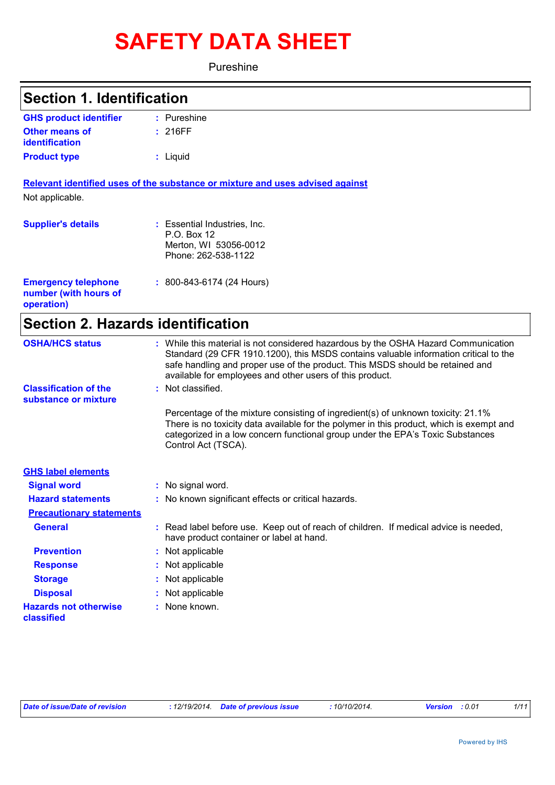# **SAFETY DATA SHEET**

Pureshine

| <b>Section 1. Identification</b>                                  |                                                                                                                                                                                                                                                                                                                         |
|-------------------------------------------------------------------|-------------------------------------------------------------------------------------------------------------------------------------------------------------------------------------------------------------------------------------------------------------------------------------------------------------------------|
| <b>GHS product identifier</b>                                     | : Pureshine                                                                                                                                                                                                                                                                                                             |
| <b>Other means of</b><br>identification                           | : 216FF                                                                                                                                                                                                                                                                                                                 |
| <b>Product type</b>                                               | : Liquid                                                                                                                                                                                                                                                                                                                |
|                                                                   | Relevant identified uses of the substance or mixture and uses advised against                                                                                                                                                                                                                                           |
| Not applicable.                                                   |                                                                                                                                                                                                                                                                                                                         |
| <b>Supplier's details</b>                                         | : Essential Industries, Inc.<br>P.O. Box 12<br>Merton, WI 53056-0012<br>Phone: 262-538-1122                                                                                                                                                                                                                             |
| <b>Emergency telephone</b><br>number (with hours of<br>operation) | $: 800 - 843 - 6174$ (24 Hours)                                                                                                                                                                                                                                                                                         |
| <b>Section 2. Hazards identification</b>                          |                                                                                                                                                                                                                                                                                                                         |
| <b>OSHA/HCS status</b>                                            | : While this material is not considered hazardous by the OSHA Hazard Communication<br>Standard (29 CFR 1910.1200), this MSDS contains valuable information critical to the<br>safe handling and proper use of the product. This MSDS should be retained and<br>available for employees and other users of this product. |
| <b>Classification of the</b><br>substance or mixture              | : Not classified.                                                                                                                                                                                                                                                                                                       |
|                                                                   | Percentage of the mixture consisting of ingredient(s) of unknown toxicity: 21.1%<br>There is no toxicity data available for the polymer in this product, which is exempt and<br>categorized in a low concern functional group under the EPA's Toxic Substances<br>Control Act (TSCA).                                   |
| <b>GHS label elements</b>                                         |                                                                                                                                                                                                                                                                                                                         |
| <b>Signal word</b>                                                | : No signal word.                                                                                                                                                                                                                                                                                                       |
| <b>Hazard statements</b>                                          | : No known significant effects or critical hazards.                                                                                                                                                                                                                                                                     |
| <b>Precautionary statements</b>                                   |                                                                                                                                                                                                                                                                                                                         |
| <b>General</b>                                                    | Read label before use. Keep out of reach of children. If medical advice is needed,<br>have product container or label at hand.                                                                                                                                                                                          |
| <b>Prevention</b>                                                 | : Not applicable                                                                                                                                                                                                                                                                                                        |
| <b>Response</b>                                                   | Not applicable                                                                                                                                                                                                                                                                                                          |
| <b>Storage</b>                                                    | Not applicable                                                                                                                                                                                                                                                                                                          |
| <b>Disposal</b>                                                   | Not applicable                                                                                                                                                                                                                                                                                                          |
| <b>Hazards not otherwise</b><br>classified                        | None known.                                                                                                                                                                                                                                                                                                             |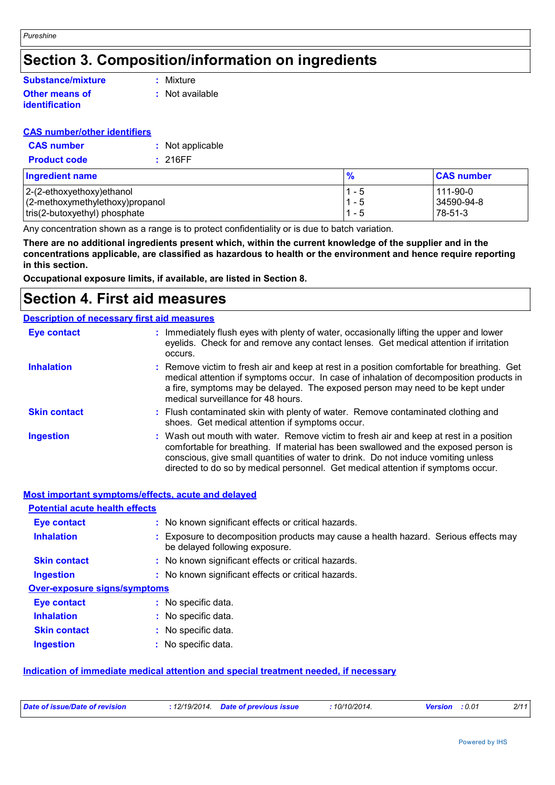### **Section 3. Composition/information on ingredients**

#### **Other means of identification Substance/mixture**

**:** Mixture

**:** Not available

### **CAS number/other identifiers**

| <b>CAS number</b>   | : Not applicable |
|---------------------|------------------|
| <b>Product code</b> | : 216FF          |

| <b>Ingredient name</b>          | $\frac{9}{6}$ | <b>CAS number</b> |
|---------------------------------|---------------|-------------------|
| $ 2-(2-ethoxyethoxy)ethanol$    | $1 - 5$       | $111 - 90 - 0$    |
| (2-methoxymethylethoxy)propanol | $1 - 5$       | 34590-94-8        |
| tris(2-butoxyethyl) phosphate   | $1 - 5$       | $78-51-3$         |

Any concentration shown as a range is to protect confidentiality or is due to batch variation.

**There are no additional ingredients present which, within the current knowledge of the supplier and in the concentrations applicable, are classified as hazardous to health or the environment and hence require reporting in this section.**

**Occupational exposure limits, if available, are listed in Section 8.**

### **Section 4. First aid measures**

#### **Description of necessary first aid measures**

| <b>Eye contact</b>  | : Immediately flush eyes with plenty of water, occasionally lifting the upper and lower<br>eyelids. Check for and remove any contact lenses. Get medical attention if irritation<br>occurs.                                                                                                                                                            |
|---------------------|--------------------------------------------------------------------------------------------------------------------------------------------------------------------------------------------------------------------------------------------------------------------------------------------------------------------------------------------------------|
| <b>Inhalation</b>   | : Remove victim to fresh air and keep at rest in a position comfortable for breathing. Get<br>medical attention if symptoms occur. In case of inhalation of decomposition products in<br>a fire, symptoms may be delayed. The exposed person may need to be kept under<br>medical surveillance for 48 hours.                                           |
| <b>Skin contact</b> | : Flush contaminated skin with plenty of water. Remove contaminated clothing and<br>shoes. Get medical attention if symptoms occur.                                                                                                                                                                                                                    |
| <b>Ingestion</b>    | : Wash out mouth with water. Remove victim to fresh air and keep at rest in a position<br>comfortable for breathing. If material has been swallowed and the exposed person is<br>conscious, give small quantities of water to drink. Do not induce vomiting unless<br>directed to do so by medical personnel. Get medical attention if symptoms occur. |

### **Most important symptoms/effects, acute and delayed**

| <b>Potential acute health effects</b> |                                                                                                                       |
|---------------------------------------|-----------------------------------------------------------------------------------------------------------------------|
| <b>Eye contact</b>                    | : No known significant effects or critical hazards.                                                                   |
| <b>Inhalation</b>                     | : Exposure to decomposition products may cause a health hazard. Serious effects may<br>be delayed following exposure. |
| <b>Skin contact</b>                   | : No known significant effects or critical hazards.                                                                   |
| <b>Ingestion</b>                      | : No known significant effects or critical hazards.                                                                   |
| <b>Over-exposure signs/symptoms</b>   |                                                                                                                       |
| <b>Eye contact</b>                    | : No specific data.                                                                                                   |
| <b>Inhalation</b>                     | : No specific data.                                                                                                   |
| <b>Skin contact</b>                   | : No specific data.                                                                                                   |
| <b>Ingestion</b>                      | No specific data.                                                                                                     |

### **Indication of immediate medical attention and special treatment needed, if necessary**

| Date of issue/Date of revision | 12/19/2014. | <b>Date of previous issue</b> | 10/10/2014. | Version | : 0.01 | 2/11 |
|--------------------------------|-------------|-------------------------------|-------------|---------|--------|------|
|                                |             |                               |             |         |        |      |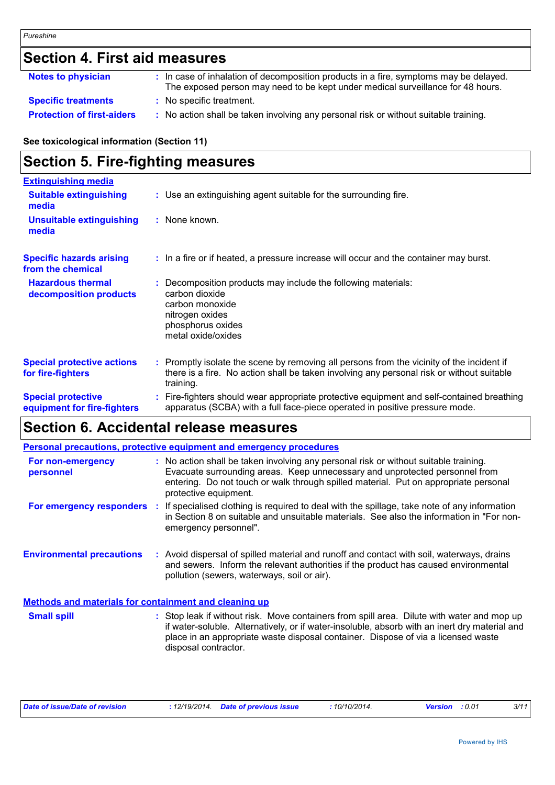## **Section 4. First aid measures**

| <b>Notes to physician</b>         | : In case of inhalation of decomposition products in a fire, symptoms may be delayed.<br>The exposed person may need to be kept under medical surveillance for 48 hours. |
|-----------------------------------|--------------------------------------------------------------------------------------------------------------------------------------------------------------------------|
| <b>Specific treatments</b>        | : No specific treatment.                                                                                                                                                 |
| <b>Protection of first-aiders</b> | : No action shall be taken involving any personal risk or without suitable training.                                                                                     |

### **See toxicological information (Section 11)**

### **Section 5. Fire-fighting measures**

| <b>Extinguishing media</b>                               |                                                                                                                                                                                                     |
|----------------------------------------------------------|-----------------------------------------------------------------------------------------------------------------------------------------------------------------------------------------------------|
| <b>Suitable extinguishing</b><br>media                   | : Use an extinguishing agent suitable for the surrounding fire.                                                                                                                                     |
| <b>Unsuitable extinguishing</b><br>media                 | : None known.                                                                                                                                                                                       |
| <b>Specific hazards arising</b><br>from the chemical     | : In a fire or if heated, a pressure increase will occur and the container may burst.                                                                                                               |
| <b>Hazardous thermal</b><br>decomposition products       | Decomposition products may include the following materials:<br>carbon dioxide<br>carbon monoxide<br>nitrogen oxides<br>phosphorus oxides<br>metal oxide/oxides                                      |
| <b>Special protective actions</b><br>for fire-fighters   | : Promptly isolate the scene by removing all persons from the vicinity of the incident if<br>there is a fire. No action shall be taken involving any personal risk or without suitable<br>training. |
| <b>Special protective</b><br>equipment for fire-fighters | Fire-fighters should wear appropriate protective equipment and self-contained breathing<br>apparatus (SCBA) with a full face-piece operated in positive pressure mode.                              |

## **Section 6. Accidental release measures**

|                                                              | <b>Personal precautions, protective equipment and emergency procedures</b>                                                                                                                                                                                                                               |
|--------------------------------------------------------------|----------------------------------------------------------------------------------------------------------------------------------------------------------------------------------------------------------------------------------------------------------------------------------------------------------|
| For non-emergency<br>personnel                               | : No action shall be taken involving any personal risk or without suitable training.<br>Evacuate surrounding areas. Keep unnecessary and unprotected personnel from<br>entering. Do not touch or walk through spilled material. Put on appropriate personal<br>protective equipment.                     |
| For emergency responders                                     | If specialised clothing is required to deal with the spillage, take note of any information<br>÷.<br>in Section 8 on suitable and unsuitable materials. See also the information in "For non-<br>emergency personnel".                                                                                   |
| <b>Environmental precautions</b>                             | : Avoid dispersal of spilled material and runoff and contact with soil, waterways, drains<br>and sewers. Inform the relevant authorities if the product has caused environmental<br>pollution (sewers, waterways, soil or air).                                                                          |
| <b>Methods and materials for containment and cleaning up</b> |                                                                                                                                                                                                                                                                                                          |
| <b>Small spill</b>                                           | : Stop leak if without risk. Move containers from spill area. Dilute with water and mop up<br>if water-soluble. Alternatively, or if water-insoluble, absorb with an inert dry material and<br>place in an appropriate waste disposal container. Dispose of via a licensed waste<br>disposal contractor. |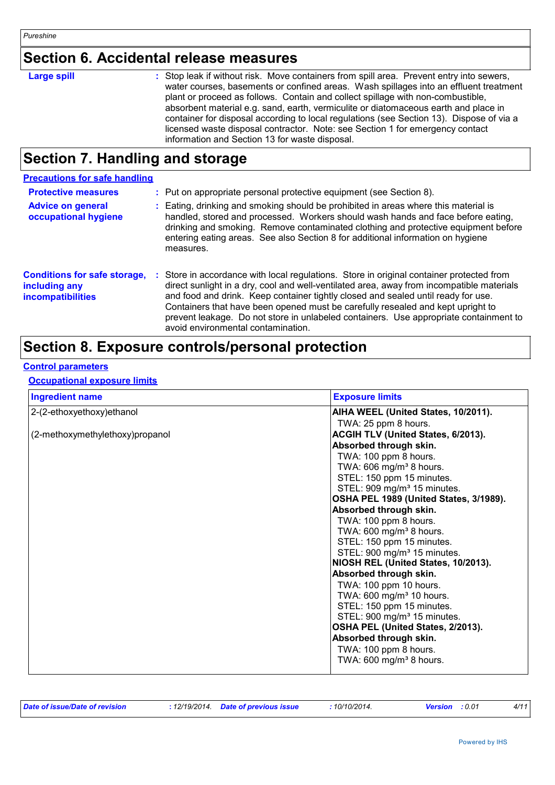### **Section 6. Accidental release measures**

| <b>Large spill</b> | : Stop leak if without risk. Move containers from spill area. Prevent entry into sewers,<br>water courses, basements or confined areas. Wash spillages into an effluent treatment<br>plant or proceed as follows. Contain and collect spillage with non-combustible,<br>absorbent material e.g. sand, earth, vermiculite or diatomaceous earth and place in<br>container for disposal according to local regulations (see Section 13). Dispose of via a<br>licensed waste disposal contractor. Note: see Section 1 for emergency contact<br>information and Section 13 for waste disposal. |
|--------------------|--------------------------------------------------------------------------------------------------------------------------------------------------------------------------------------------------------------------------------------------------------------------------------------------------------------------------------------------------------------------------------------------------------------------------------------------------------------------------------------------------------------------------------------------------------------------------------------------|

# **Section 7. Handling and storage**

| <b>Precautions for safe handling</b>                                             |    |                                                                                                                                                                                                                                                                                                                                                                                                                                                                                            |
|----------------------------------------------------------------------------------|----|--------------------------------------------------------------------------------------------------------------------------------------------------------------------------------------------------------------------------------------------------------------------------------------------------------------------------------------------------------------------------------------------------------------------------------------------------------------------------------------------|
| <b>Protective measures</b>                                                       |    | : Put on appropriate personal protective equipment (see Section 8).                                                                                                                                                                                                                                                                                                                                                                                                                        |
| <b>Advice on general</b><br>occupational hygiene                                 |    | : Eating, drinking and smoking should be prohibited in areas where this material is<br>handled, stored and processed. Workers should wash hands and face before eating,<br>drinking and smoking. Remove contaminated clothing and protective equipment before<br>entering eating areas. See also Section 8 for additional information on hygiene<br>measures.                                                                                                                              |
| <b>Conditions for safe storage,</b><br>including any<br><b>incompatibilities</b> | ÷. | Store in accordance with local regulations. Store in original container protected from<br>direct sunlight in a dry, cool and well-ventilated area, away from incompatible materials<br>and food and drink. Keep container tightly closed and sealed until ready for use.<br>Containers that have been opened must be carefully resealed and kept upright to<br>prevent leakage. Do not store in unlabeled containers. Use appropriate containment to<br>avoid environmental contamination. |

### **Section 8. Exposure controls/personal protection**

### **Control parameters**

#### **Occupational exposure limits**

| <b>Ingredient name</b>          | <b>Exposure limits</b>                  |
|---------------------------------|-----------------------------------------|
| 2-(2-ethoxyethoxy) ethanol      | AIHA WEEL (United States, 10/2011).     |
|                                 | TWA: 25 ppm 8 hours.                    |
| (2-methoxymethylethoxy)propanol | ACGIH TLV (United States, 6/2013).      |
|                                 | Absorbed through skin.                  |
|                                 | TWA: 100 ppm 8 hours.                   |
|                                 | TWA: 606 mg/m <sup>3</sup> 8 hours.     |
|                                 | STEL: 150 ppm 15 minutes.               |
|                                 | STEL: 909 mg/m <sup>3</sup> 15 minutes. |
|                                 | OSHA PEL 1989 (United States, 3/1989).  |
|                                 | Absorbed through skin.                  |
|                                 | TWA: 100 ppm 8 hours.                   |
|                                 | TWA: 600 mg/m <sup>3</sup> 8 hours.     |
|                                 | STEL: 150 ppm 15 minutes.               |
|                                 | STEL: 900 mg/m <sup>3</sup> 15 minutes. |
|                                 | NIOSH REL (United States, 10/2013).     |
|                                 | Absorbed through skin.                  |
|                                 | TWA: 100 ppm 10 hours.                  |
|                                 | TWA: 600 mg/m <sup>3</sup> 10 hours.    |
|                                 | STEL: 150 ppm 15 minutes.               |
|                                 | STEL: 900 mg/m <sup>3</sup> 15 minutes. |
|                                 | OSHA PEL (United States, 2/2013).       |
|                                 | Absorbed through skin.                  |
|                                 | TWA: 100 ppm 8 hours.                   |
|                                 | TWA: $600 \text{ mg/m}^3$ 8 hours.      |

| Date of issue/Date of revision | : 12/19/2014 Date of previous issue | 10/10/2014. | <b>Version</b> : 0.01 |  |
|--------------------------------|-------------------------------------|-------------|-----------------------|--|
|--------------------------------|-------------------------------------|-------------|-----------------------|--|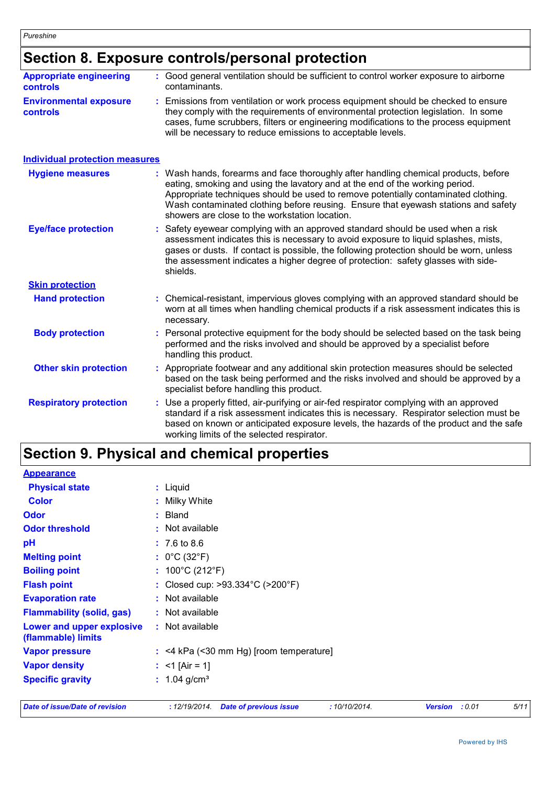### **Section 8. Exposure controls/personal protection**

| <b>Appropriate engineering</b><br>controls       | : Good general ventilation should be sufficient to control worker exposure to airborne<br>contaminants.                                                                                                                                                                                                                                                                                           |
|--------------------------------------------------|---------------------------------------------------------------------------------------------------------------------------------------------------------------------------------------------------------------------------------------------------------------------------------------------------------------------------------------------------------------------------------------------------|
| <b>Environmental exposure</b><br><b>controls</b> | Emissions from ventilation or work process equipment should be checked to ensure<br>they comply with the requirements of environmental protection legislation. In some<br>cases, fume scrubbers, filters or engineering modifications to the process equipment<br>will be necessary to reduce emissions to acceptable levels.                                                                     |
| <b>Individual protection measures</b>            |                                                                                                                                                                                                                                                                                                                                                                                                   |
| <b>Hygiene measures</b>                          | : Wash hands, forearms and face thoroughly after handling chemical products, before<br>eating, smoking and using the lavatory and at the end of the working period.<br>Appropriate techniques should be used to remove potentially contaminated clothing.<br>Wash contaminated clothing before reusing. Ensure that eyewash stations and safety<br>showers are close to the workstation location. |
| <b>Eye/face protection</b>                       | Safety eyewear complying with an approved standard should be used when a risk<br>assessment indicates this is necessary to avoid exposure to liquid splashes, mists,<br>gases or dusts. If contact is possible, the following protection should be worn, unless<br>the assessment indicates a higher degree of protection: safety glasses with side-<br>shields.                                  |
| <b>Skin protection</b>                           |                                                                                                                                                                                                                                                                                                                                                                                                   |
| <b>Hand protection</b>                           | : Chemical-resistant, impervious gloves complying with an approved standard should be<br>worn at all times when handling chemical products if a risk assessment indicates this is<br>necessary.                                                                                                                                                                                                   |
| <b>Body protection</b>                           | Personal protective equipment for the body should be selected based on the task being<br>÷<br>performed and the risks involved and should be approved by a specialist before<br>handling this product.                                                                                                                                                                                            |
| <b>Other skin protection</b>                     | Appropriate footwear and any additional skin protection measures should be selected<br>based on the task being performed and the risks involved and should be approved by a<br>specialist before handling this product.                                                                                                                                                                           |
| <b>Respiratory protection</b>                    | : Use a properly fitted, air-purifying or air-fed respirator complying with an approved<br>standard if a risk assessment indicates this is necessary. Respirator selection must be<br>based on known or anticipated exposure levels, the hazards of the product and the safe<br>working limits of the selected respirator.                                                                        |

## **Section 9. Physical and chemical properties**

| : Not available                                                                             |
|---------------------------------------------------------------------------------------------|
| $:$ <4 kPa (<30 mm Hg) [room temperature]                                                   |
|                                                                                             |
| : $<$ 1 [Air = 1]                                                                           |
| : $1.04$ g/cm <sup>3</sup>                                                                  |
| : Closed cup: $>93.334^{\circ}$ C ( $>200^{\circ}$ F)<br>: Not available<br>: Not available |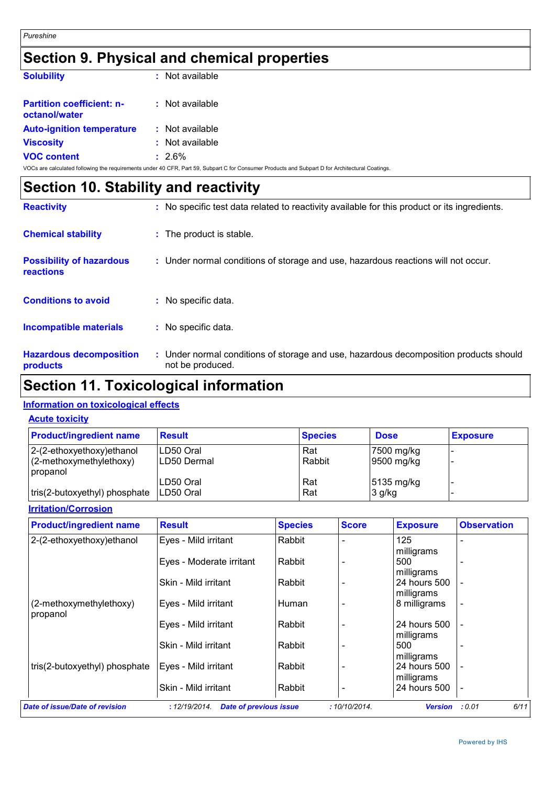## **Section 9. Physical and chemical properties**

| <b>Solubility</b>                                 | : Not available |
|---------------------------------------------------|-----------------|
| <b>Partition coefficient: n-</b><br>octanol/water | : Not available |
| <b>Auto-ignition temperature</b>                  | : Not available |
| <b>Viscosity</b>                                  | : Not available |
| <b>VOC content</b>                                | $: 2.6\%$       |

VOCs are calculated following the requirements under 40 CFR, Part 59, Subpart C for Consumer Products and Subpart D for Architectural Coatings.

| Section 10. Stability and reactivity                |                                                                                                           |
|-----------------------------------------------------|-----------------------------------------------------------------------------------------------------------|
| <b>Reactivity</b>                                   | : No specific test data related to reactivity available for this product or its ingredients.              |
| <b>Chemical stability</b>                           | : The product is stable.                                                                                  |
| <b>Possibility of hazardous</b><br><b>reactions</b> | : Under normal conditions of storage and use, hazardous reactions will not occur.                         |
| <b>Conditions to avoid</b>                          | : No specific data.                                                                                       |
| Incompatible materials                              | : No specific data.                                                                                       |
| <b>Hazardous decomposition</b><br>products          | : Under normal conditions of storage and use, hazardous decomposition products should<br>not be produced. |

### **Section 11. Toxicological information**

### **Information on toxicological effects**

|  | <b>Acute toxicity</b> |
|--|-----------------------|
|--|-----------------------|

| <b>Product/ingredient name</b>      | <b>Result</b> | <b>Species</b> | <b>Dose</b>            | <b>Exposure</b> |
|-------------------------------------|---------------|----------------|------------------------|-----------------|
| 2-(2-ethoxyethoxy) ethanol          | LD50 Oral     | Rat            | 7500 mg/kg             |                 |
| (2-methoxymethylethoxy)<br>propanol | ILD50 Dermal  | Rabbit         | $ 9500 \text{ mg/kg} $ |                 |
|                                     | LD50 Oral     | Rat            | 5135 mg/kg             |                 |
| tris(2-butoxyethyl) phosphate       | ILD50 Oral    | Rat            | 3 g/kg                 |                 |

### **Irritation/Corrosion**

| <b>Product/ingredient name</b>        | <b>Result</b>                                  | <b>Species</b> | <b>Score</b> | <b>Exposure</b>                 | <b>Observation</b> |
|---------------------------------------|------------------------------------------------|----------------|--------------|---------------------------------|--------------------|
| 2-(2-ethoxyethoxy)ethanol             | Eyes - Mild irritant                           | Rabbit         |              | 125                             |                    |
|                                       | Eyes - Moderate irritant                       | Rabbit         |              | milligrams<br>500<br>milligrams |                    |
|                                       | Skin - Mild irritant                           | Rabbit         |              | 24 hours 500<br>milligrams      |                    |
| (2-methoxymethylethoxy)<br>propanol   | Eyes - Mild irritant                           | Human          |              | 8 milligrams                    |                    |
|                                       | Eyes - Mild irritant                           | Rabbit         |              | 24 hours 500<br>milligrams      |                    |
|                                       | Skin - Mild irritant                           | Rabbit         |              | 500<br>milligrams               |                    |
| tris(2-butoxyethyl) phosphate         | Eyes - Mild irritant                           | Rabbit         |              | 24 hours 500<br>milligrams      |                    |
|                                       | Skin - Mild irritant                           | Rabbit         |              | 24 hours 500                    |                    |
| <b>Date of issue/Date of revision</b> | <b>Date of previous issue</b><br>: 12/19/2014. |                | :10/10/2014. | <b>Version</b>                  | 6/11<br>: 0.01     |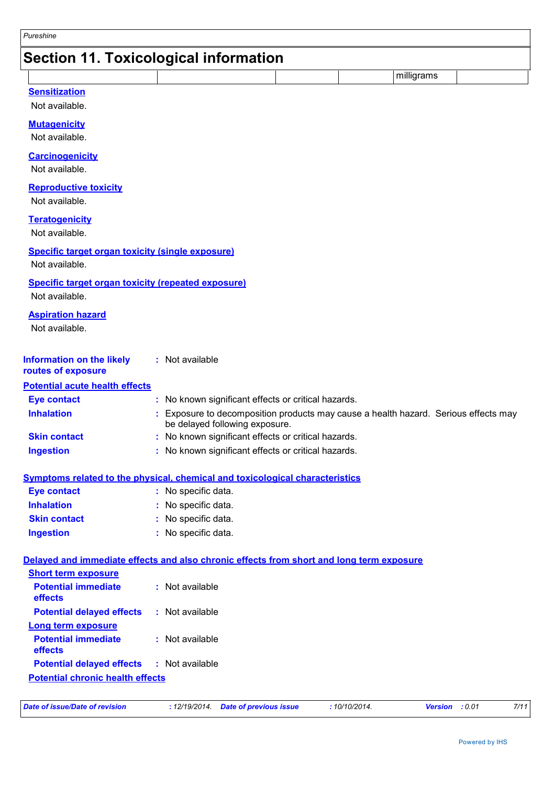### **Section 11. Toxicological information**

**Sensitization**

Not available.

#### **Mutagenicity**

Not available.

#### **Carcinogenicity**

Not available.

#### **Reproductive toxicity**

Not available.

#### **Teratogenicity**

Not available.

### **Specific target organ toxicity (single exposure)**

Not available.

#### **Specific target organ toxicity (repeated exposure)**

Not available.

#### **Aspiration hazard**

Not available.

| Information on the likely | : Not available |
|---------------------------|-----------------|
| routes of exposure        |                 |

### **Potential acute health effects**

| <b>Eye contact</b>  | : No known significant effects or critical hazards.                                                                   |
|---------------------|-----------------------------------------------------------------------------------------------------------------------|
| <b>Inhalation</b>   | : Exposure to decomposition products may cause a health hazard. Serious effects may<br>be delayed following exposure. |
| <b>Skin contact</b> | : No known significant effects or critical hazards.                                                                   |
| <b>Ingestion</b>    | : No known significant effects or critical hazards.                                                                   |

#### **Symptoms related to the physical, chemical and toxicological characteristics**

| <b>Eye contact</b>  | : No specific data. |
|---------------------|---------------------|
| <b>Inhalation</b>   | : No specific data. |
| <b>Skin contact</b> | : No specific data. |
| Ingestion           | : No specific data. |

### **Delayed and immediate effects and also chronic effects from short and long term exposure**

| <b>Short term exposure</b>              |                 |
|-----------------------------------------|-----------------|
| <b>Potential immediate</b><br>effects   | : Not available |
| <b>Potential delayed effects</b>        | : Not available |
| <b>Long term exposure</b>               |                 |
| <b>Potential immediate</b><br>effects   | : Not available |
| <b>Potential delayed effects</b>        | : Not available |
| <b>Potential chronic health effects</b> |                 |

| Date of issue/Date of revision | : 12/19/2014 Date of previous issue | : 10/10/2014. | <b>Version</b> : 0.01 | 7/11 |
|--------------------------------|-------------------------------------|---------------|-----------------------|------|
|--------------------------------|-------------------------------------|---------------|-----------------------|------|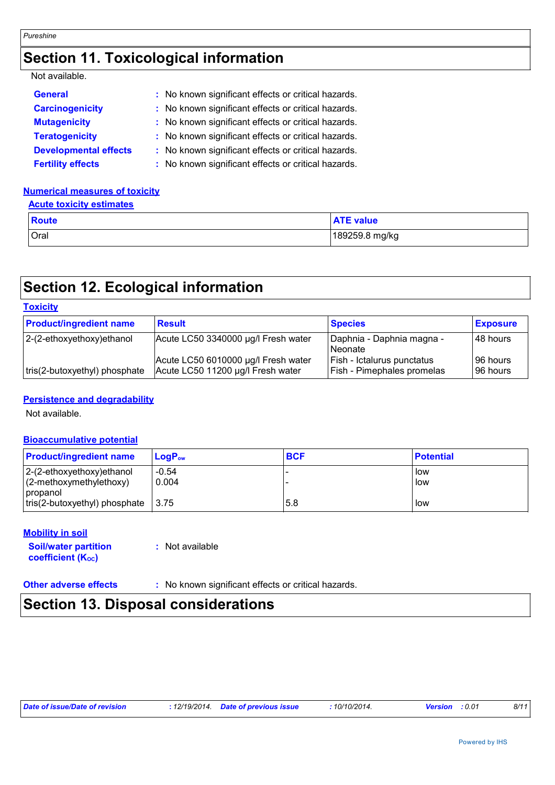### **Section 11. Toxicological information**

### Not available.

| <b>General</b>               | : No known significant effects or critical hazards. |
|------------------------------|-----------------------------------------------------|
| <b>Carcinogenicity</b>       | : No known significant effects or critical hazards. |
| <b>Mutagenicity</b>          | : No known significant effects or critical hazards. |
| <b>Teratogenicity</b>        | : No known significant effects or critical hazards. |
| <b>Developmental effects</b> | : No known significant effects or critical hazards. |
| <b>Fertility effects</b>     | : No known significant effects or critical hazards. |

### **Numerical measures of toxicity**

### **Acute toxicity estimates**

| <b>Route</b> | <b>ATE value</b> |
|--------------|------------------|
| Oral         | 189259.8 mg/kg   |

### **Section 12. Ecological information**

| <b>Toxicity</b>                |                                                                          |                                                                 |                      |
|--------------------------------|--------------------------------------------------------------------------|-----------------------------------------------------------------|----------------------|
| <b>Product/ingredient name</b> | <b>Result</b>                                                            | <b>Species</b>                                                  | <b>Exposure</b>      |
| $ 2-(2-ethoxyethoxy)ethanol$   | Acute LC50 3340000 µg/l Fresh water                                      | Daphnia - Daphnia magna -<br><b>Neonate</b>                     | 48 hours             |
| tris(2-butoxyethyl) phosphate  | Acute LC50 6010000 µg/l Fresh water<br>Acute LC50 11200 µg/l Fresh water | Fish - Ictalurus punctatus<br><b>Fish - Pimephales promelas</b> | 96 hours<br>96 hours |

### **Persistence and degradability**

Not available.

### **Bioaccumulative potential**

| <b>Product/ingredient name</b>                             | $\mathsf{LoaP}_\mathsf{ow}$ | <b>BCF</b> | <b>Potential</b> |
|------------------------------------------------------------|-----------------------------|------------|------------------|
| $ 2-(2-ethoxyethoxy)ethanol$<br>$(2$ -methoxymethylethoxy) | $-0.54$<br>0.004            |            | l low<br>low     |
| <i>c</i> opanol                                            |                             |            |                  |
| $ tris(2-butoxyethyl)$ phosphate $ 3.75 $                  |                             | 5.8        | l low            |

#### **Mobility in soil**

| <b>Soil/water partition</b> | : Not available |
|-----------------------------|-----------------|
| <b>coefficient (Koc)</b>    |                 |

**Other adverse effects** : No known significant effects or critical hazards.

### **Section 13. Disposal considerations**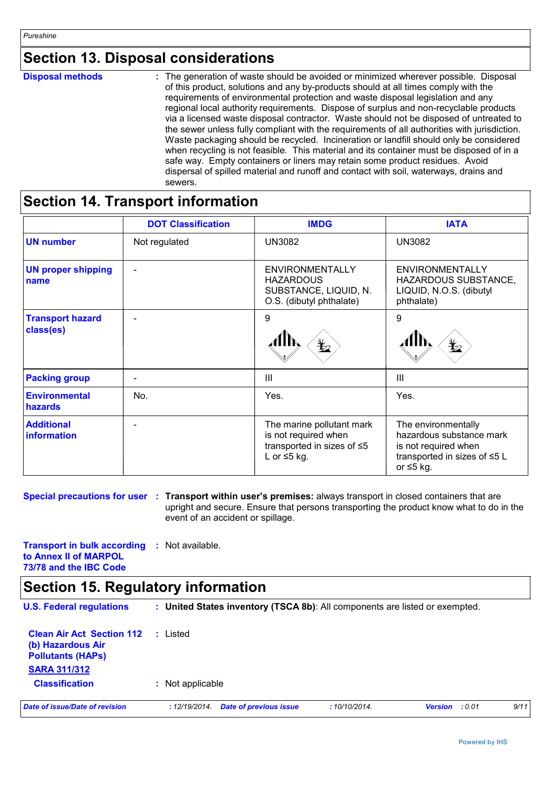### **Section 13. Disposal considerations**

| <b>Disposal methods</b> | : The generation of waste should be avoided or minimized wherever possible. Disposal<br>of this product, solutions and any by-products should at all times comply with the<br>requirements of environmental protection and waste disposal legislation and any<br>regional local authority requirements. Dispose of surplus and non-recyclable products<br>via a licensed waste disposal contractor. Waste should not be disposed of untreated to<br>the sewer unless fully compliant with the requirements of all authorities with jurisdiction.<br>Waste packaging should be recycled. Incineration or landfill should only be considered<br>when recycling is not feasible. This material and its container must be disposed of in a<br>safe way. Empty containers or liners may retain some product residues. Avoid<br>dispersal of spilled material and runoff and contact with soil, waterways, drains and |
|-------------------------|-----------------------------------------------------------------------------------------------------------------------------------------------------------------------------------------------------------------------------------------------------------------------------------------------------------------------------------------------------------------------------------------------------------------------------------------------------------------------------------------------------------------------------------------------------------------------------------------------------------------------------------------------------------------------------------------------------------------------------------------------------------------------------------------------------------------------------------------------------------------------------------------------------------------|
|                         | sewers.                                                                                                                                                                                                                                                                                                                                                                                                                                                                                                                                                                                                                                                                                                                                                                                                                                                                                                         |

### **Section 14. Transport information**

|                                        | <b>DOT Classification</b> | <b>IMDG</b>                                                                                          | <b>IATA</b>                                                                                                                |
|----------------------------------------|---------------------------|------------------------------------------------------------------------------------------------------|----------------------------------------------------------------------------------------------------------------------------|
| <b>UN number</b>                       | Not regulated             | <b>UN3082</b>                                                                                        | <b>UN3082</b>                                                                                                              |
| <b>UN proper shipping</b><br>name      | $\overline{\phantom{0}}$  | <b>ENVIRONMENTALLY</b><br><b>HAZARDOUS</b><br>SUBSTANCE, LIQUID, N.<br>O.S. (dibutyl phthalate)      | <b>ENVIRONMENTALLY</b><br>HAZARDOUS SUBSTANCE,<br>LIQUID, N.O.S. (dibutyl<br>phthalate)                                    |
| <b>Transport hazard</b><br>class(es)   |                           | 9<br>$\bigstar$                                                                                      | 9                                                                                                                          |
| <b>Packing group</b>                   | $\overline{\phantom{a}}$  | Ш                                                                                                    | $\mathbf{III}$                                                                                                             |
| <b>Environmental</b><br><b>hazards</b> | No.                       | Yes.                                                                                                 | Yes.                                                                                                                       |
| <b>Additional</b><br>information       | $\overline{\phantom{0}}$  | The marine pollutant mark<br>is not required when<br>transported in sizes of ≤5<br>L or $\leq$ 5 kg. | The environmentally<br>hazardous substance mark<br>is not required when<br>transported in sizes of ≤5 L<br>or $\leq 5$ kg. |

**Special precautions for user : Transport within user's premises: always transport in closed containers that are** upright and secure. Ensure that persons transporting the product know what to do in the event of an accident or spillage.

**Transport in bulk according :** Not available. **to Annex II of MARPOL 73/78 and the IBC Code**

### **Section 15. Regulatory information**

| <b>U.S. Federal regulations</b>                                                                          | : United States inventory (TSCA 8b): All components are listed or exempted. |             |                          |      |
|----------------------------------------------------------------------------------------------------------|-----------------------------------------------------------------------------|-------------|--------------------------|------|
| <b>Clean Air Act Section 112</b><br>(b) Hazardous Air<br><b>Pollutants (HAPS)</b><br><b>SARA 311/312</b> | Listed                                                                      |             |                          |      |
| <b>Classification</b>                                                                                    | : Not applicable                                                            |             |                          |      |
| Date of issue/Date of revision                                                                           | <b>Date of previous issue</b><br>:12/19/2014.                               | :10/10/2014 | <b>Version</b><br>: 0.01 | 9/11 |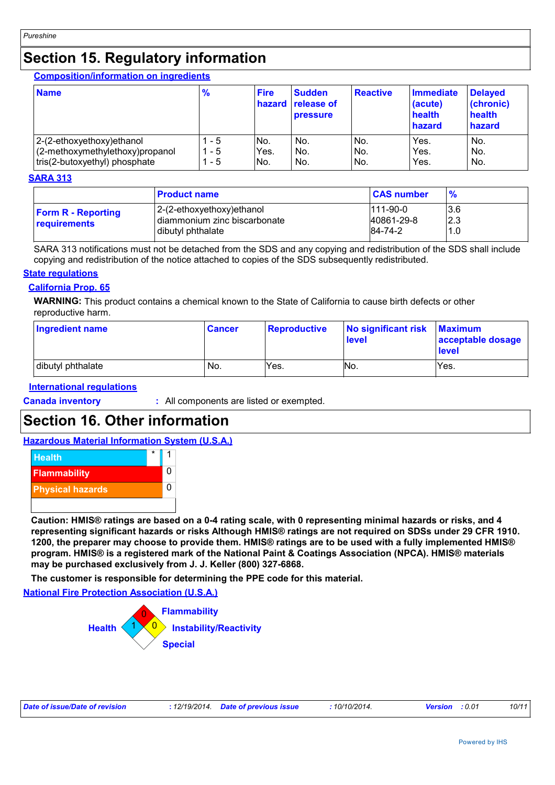### **Section 15. Regulatory information**

**Composition/information on ingredients**

| <b>Name</b>                     | $\frac{9}{6}$ | <b>Fire</b><br>hazard | <b>Sudden</b><br><b>release of</b><br><b>pressure</b> | Reactive | <b>Immediate</b><br>(acute)<br>health<br>hazard | <b>Delayed</b><br>(chronic)<br>health<br>hazard |
|---------------------------------|---------------|-----------------------|-------------------------------------------------------|----------|-------------------------------------------------|-------------------------------------------------|
| 2-(2-ethoxyethoxy) ethanol      | - 5           | No.                   | No.                                                   | No.      | Yes.                                            | No.                                             |
| (2-methoxymethylethoxy)propanol | - 5           | Yes.                  | No.                                                   | No.      | Yes.                                            | No.                                             |
| tris(2-butoxyethyl) phosphate   | - 5           | INo.                  | No.                                                   | No.      | Yes.                                            | No.                                             |

### **SARA 313**

|                                                  | <b>Product name</b>                                                            | <b>CAS number</b>                   | $\frac{9}{6}$       |
|--------------------------------------------------|--------------------------------------------------------------------------------|-------------------------------------|---------------------|
| <b>Form R - Reporting</b><br><b>requirements</b> | 2-(2-ethoxyethoxy)ethanol<br>diammonium zinc biscarbonate<br>dibutyl phthalate | $111-90-0$<br>40861-29-8<br>84-74-2 | 13.6<br>I2.3<br>1.0 |

SARA 313 notifications must not be detached from the SDS and any copying and redistribution of the SDS shall include copying and redistribution of the notice attached to copies of the SDS subsequently redistributed.

#### **State regulations**

### **California Prop. 65**

**WARNING:** This product contains a chemical known to the State of California to cause birth defects or other reproductive harm.

| Ingredient name   | <b>Cancer</b> | <b>Reproductive</b> | No significant risk<br>level | <b>Maximum</b><br>acceptable dosage<br><b>level</b> |
|-------------------|---------------|---------------------|------------------------------|-----------------------------------------------------|
| dibutyl phthalate | No.           | Yes.                | No.                          | Yes.                                                |

### **International regulations**

**Canada inventory :** All components are listed or exempted.

### **Section 16. Other information**

#### **Hazardous Material Information System (U.S.A.)**



**Caution: HMIS® ratings are based on a 0-4 rating scale, with 0 representing minimal hazards or risks, and 4 representing significant hazards or risks Although HMIS® ratings are not required on SDSs under 29 CFR 1910. 1200, the preparer may choose to provide them. HMIS® ratings are to be used with a fully implemented HMIS® program. HMIS® is a registered mark of the National Paint & Coatings Association (NPCA). HMIS® materials may be purchased exclusively from J. J. Keller (800) 327-6868.**

**The customer is responsible for determining the PPE code for this material.**

**National Fire Protection Association (U.S.A.)**